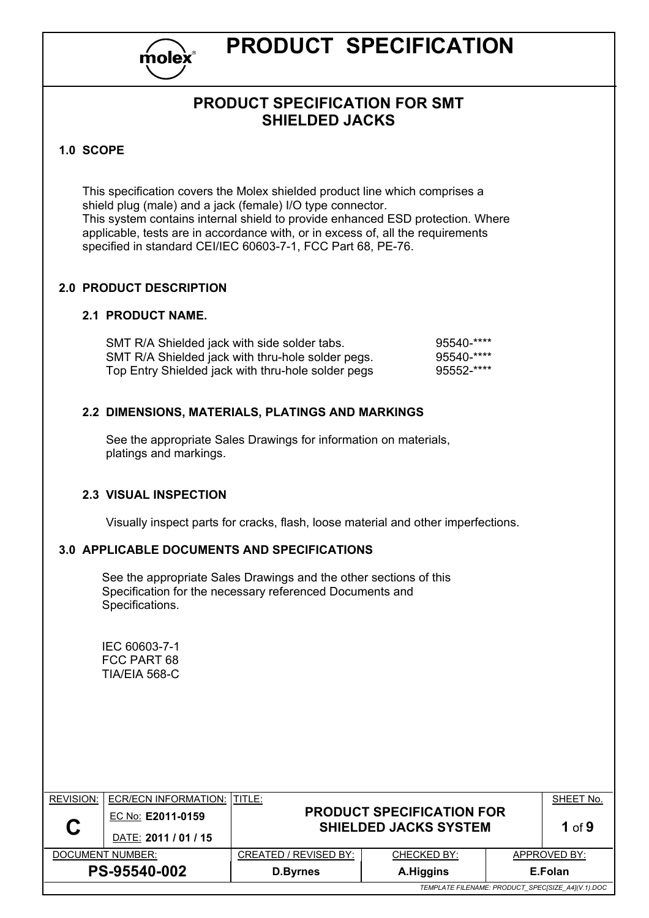

# **PRODUCT SPECIFICATION**

# **PRODUCT SPECIFICATION FOR SMT SHIELDED JACKS**

#### **1.0 SCOPE**

This specification covers the Molex shielded product line which comprises a shield plug (male) and a jack (female) I/O type connector. This system contains internal shield to provide enhanced ESD protection. Where applicable, tests are in accordance with, or in excess of, all the requirements specified in standard CEI/IEC 60603-7-1, FCC Part 68, PE-76.

#### **2.0 PRODUCT DESCRIPTION**

#### **2.1 PRODUCT NAME.**

| SMT R/A Shielded jack with side solder tabs.       | $95540-***$ |
|----------------------------------------------------|-------------|
| SMT R/A Shielded jack with thru-hole solder pegs.  | $95540-***$ |
| Top Entry Shielded jack with thru-hole solder pegs | $95552-***$ |

#### **2.2 DIMENSIONS, MATERIALS, PLATINGS AND MARKINGS**

See the appropriate Sales Drawings for information on materials, platings and markings.

#### **2.3 VISUAL INSPECTION**

Visually inspect parts for cracks, flash, loose material and other imperfections.

#### **3.0 APPLICABLE DOCUMENTS AND SPECIFICATIONS**

See the appropriate Sales Drawings and the other sections of this Specification for the necessary referenced Documents and Specifications.

IEC 60603-7-1 FCC PART 68 TIA/EIA 568-C

| <b>REVISION:</b>                             | ECR/ECN INFORMATION: ITITLE: |                                                   |                                                                  |         | SHEET No.    |  |
|----------------------------------------------|------------------------------|---------------------------------------------------|------------------------------------------------------------------|---------|--------------|--|
|                                              | EC No: E2011-0159            |                                                   | <b>PRODUCT SPECIFICATION FOR</b><br><b>SHIELDED JACKS SYSTEM</b> |         | 1 of $9$     |  |
|                                              | DATE: 2011 / 01 / 15         |                                                   |                                                                  |         |              |  |
|                                              | DOCUMENT NUMBER:             | CREATED / REVISED BY:<br>CHECKED BY:              |                                                                  |         | APPROVED BY: |  |
| PS-95540-002<br>A.Higgins<br><b>D.Byrnes</b> |                              |                                                   |                                                                  | E.Folan |              |  |
|                                              |                              | TEMPLATE FILENAME: PRODUCT_SPEC[SIZE_A4](V.1).DOC |                                                                  |         |              |  |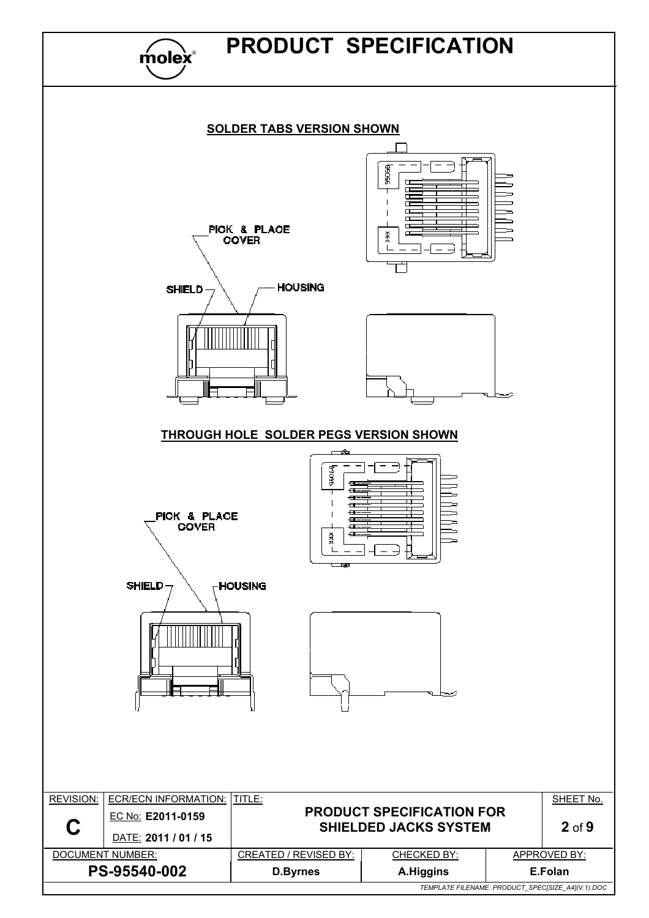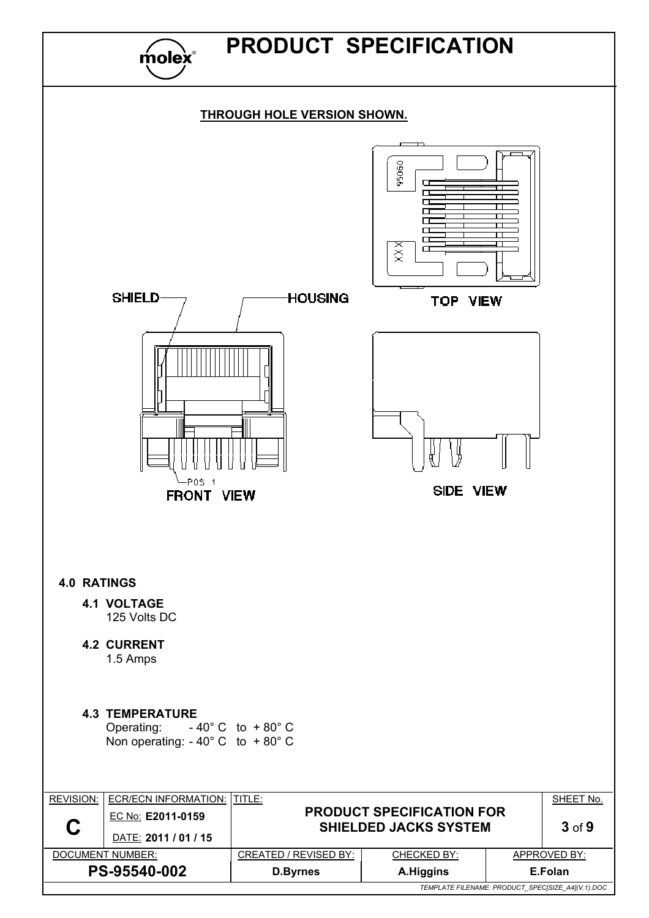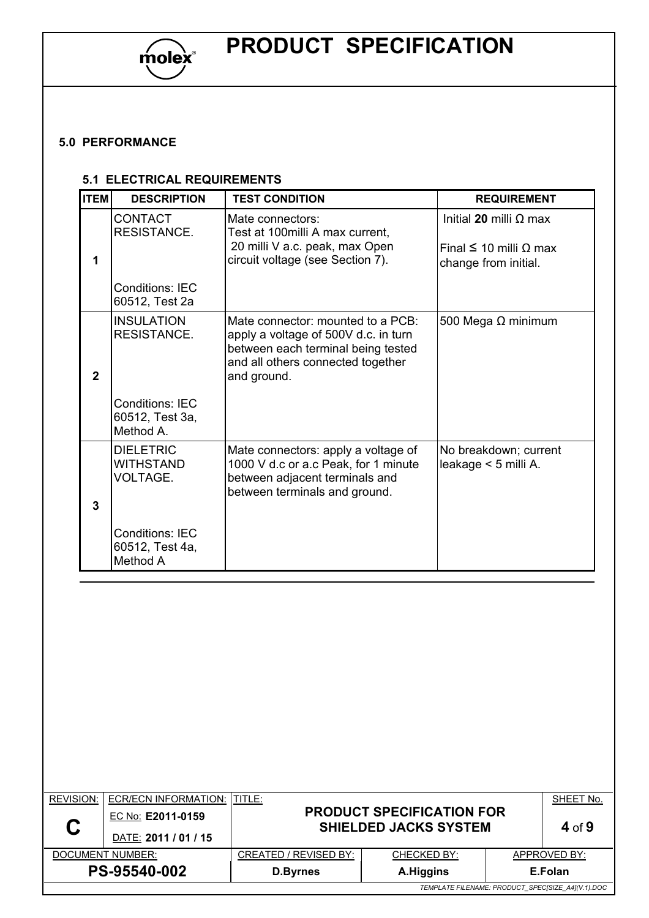

## **5.0 PERFORMANCE**

#### **5.1 ELECTRICAL REQUIREMENTS**

| <b>ITEM</b>    | <b>DESCRIPTION</b>                                      | <b>TEST CONDITION</b>                                                                                                                                               | <b>REQUIREMENT</b>                                                                          |
|----------------|---------------------------------------------------------|---------------------------------------------------------------------------------------------------------------------------------------------------------------------|---------------------------------------------------------------------------------------------|
| 1              | <b>CONTACT</b><br><b>RESISTANCE.</b>                    | Mate connectors:<br>Test at 100 milli A max current,<br>20 milli V a.c. peak, max Open<br>circuit voltage (see Section 7).                                          | Initial 20 milli $\Omega$ max<br>Final $\leq 10$ milli $\Omega$ max<br>change from initial. |
|                | <b>Conditions: IEC</b><br>60512, Test 2a                |                                                                                                                                                                     |                                                                                             |
| $\overline{2}$ | <b>INSULATION</b><br><b>RESISTANCE.</b>                 | Mate connector: mounted to a PCB:<br>apply a voltage of 500V d.c. in turn<br>between each terminal being tested<br>and all others connected together<br>and ground. | 500 Mega $\Omega$ minimum                                                                   |
|                | <b>Conditions: IEC</b><br>60512, Test 3a,<br>Method A.  |                                                                                                                                                                     |                                                                                             |
| 3              | <b>DIELETRIC</b><br><b>WITHSTAND</b><br><b>VOLTAGE.</b> | Mate connectors: apply a voltage of<br>1000 V d.c or a.c Peak, for 1 minute<br>between adjacent terminals and<br>between terminals and ground.                      | No breakdown; current<br>leakage < 5 milli A.                                               |
|                | <b>Conditions: IEC</b><br>60512, Test 4a,<br>Method A   |                                                                                                                                                                     |                                                                                             |

| <b>REVISION:</b>                                  | ECR/ECN INFORMATION: ITITLE:              |                              |                                                                  |  | SHEET No.    |
|---------------------------------------------------|-------------------------------------------|------------------------------|------------------------------------------------------------------|--|--------------|
| C                                                 | EC No: E2011-0159<br>DATE: 2011 / 01 / 15 |                              | <b>PRODUCT SPECIFICATION FOR</b><br><b>SHIELDED JACKS SYSTEM</b> |  | 4 of 9       |
|                                                   | DOCUMENT NUMBER:                          | <b>CREATED / REVISED BY:</b> | <b>CHECKED BY:</b>                                               |  | APPROVED BY: |
|                                                   | PS-95540-002                              | A.Higgins<br><b>D.Byrnes</b> |                                                                  |  | E.Folan      |
| TEMPLATE FILENAME: PRODUCT_SPEC[SIZE_A4](V.1).DOC |                                           |                              |                                                                  |  |              |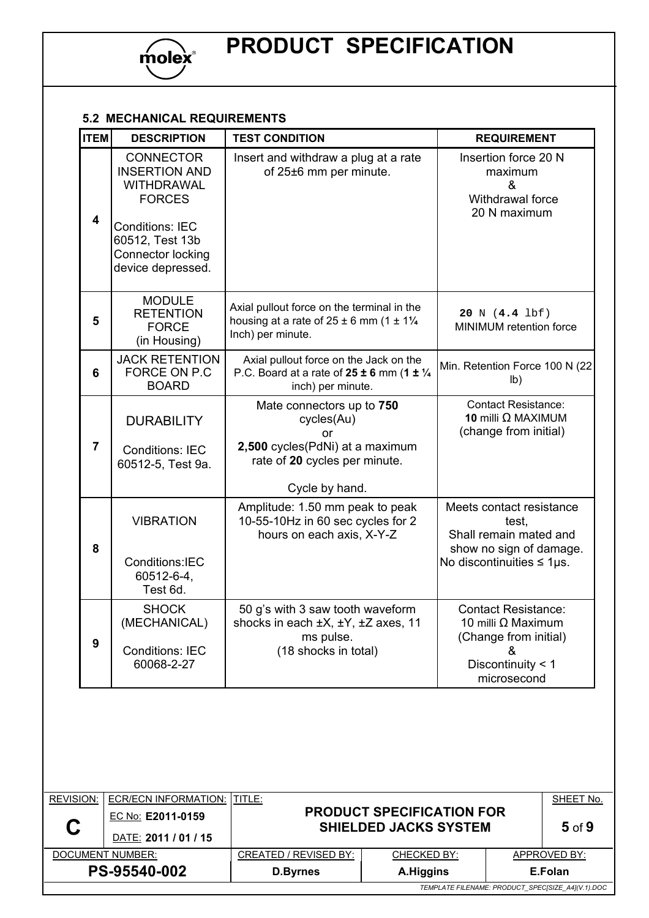

# **5.2 MECHANICAL REQUIREMENTS**

| <b>ITEM</b>    | <b>DESCRIPTION</b>                                                                                                                                             | <b>TEST CONDITION</b>                                                                                                               | <b>REQUIREMENT</b>                                                                                                        |
|----------------|----------------------------------------------------------------------------------------------------------------------------------------------------------------|-------------------------------------------------------------------------------------------------------------------------------------|---------------------------------------------------------------------------------------------------------------------------|
| 4              | <b>CONNECTOR</b><br><b>INSERTION AND</b><br>WITHDRAWAL<br><b>FORCES</b><br><b>Conditions: IEC</b><br>60512, Test 13b<br>Connector locking<br>device depressed. | Insert and withdraw a plug at a rate<br>of 25±6 mm per minute.                                                                      | Insertion force 20 N<br>maximum<br>&<br>Withdrawal force<br>20 N maximum                                                  |
| 5              | <b>MODULE</b><br><b>RETENTION</b><br><b>FORCE</b><br>(in Housing)                                                                                              | Axial pullout force on the terminal in the<br>housing at a rate of $25 \pm 6$ mm (1 $\pm$ 11/4<br>Inch) per minute.                 | 20 N (4.4 lbf)<br>MINIMUM retention force                                                                                 |
| 6              | <b>JACK RETENTION</b><br>FORCE ON P.C<br><b>BOARD</b>                                                                                                          | Axial pullout force on the Jack on the<br>P.C. Board at a rate of $25 \pm 6$ mm (1 $\pm \frac{1}{4}$<br>inch) per minute.           | Min. Retention Force 100 N (22)<br>I <sub>b</sub>                                                                         |
| $\overline{7}$ | <b>DURABILITY</b><br><b>Conditions: IEC</b><br>60512-5, Test 9a.                                                                                               | Mate connectors up to 750<br>cycles(Au)<br>or<br>2,500 cycles(PdNi) at a maximum<br>rate of 20 cycles per minute.<br>Cycle by hand. | <b>Contact Resistance:</b><br>10 milli $\Omega$ MAXIMUM<br>(change from initial)                                          |
| 8              | <b>VIBRATION</b><br>Conditions:IEC<br>60512-6-4,<br>Test 6d.                                                                                                   | Amplitude: 1.50 mm peak to peak<br>10-55-10Hz in 60 sec cycles for 2<br>hours on each axis, X-Y-Z                                   | Meets contact resistance<br>test.<br>Shall remain mated and<br>show no sign of damage.<br>No discontinuities $\leq$ 1 µs. |
| 9              | <b>SHOCK</b><br>(MECHANICAL)<br><b>Conditions: IEC</b><br>60068-2-27                                                                                           | 50 g's with 3 saw tooth waveform<br>shocks in each ±X, ±Y, ±Z axes, 11<br>ms pulse.<br>(18 shocks in total)                         | <b>Contact Resistance:</b><br>10 milli Ω Maximum<br>(Change from initial)<br>&<br>Discontinuity < 1<br>microsecond        |

| <b>REVISION:</b>                             | ECR/ECN INFORMATION: ITITLE: |                                                                  |                    |            | SHEET No.                                         |
|----------------------------------------------|------------------------------|------------------------------------------------------------------|--------------------|------------|---------------------------------------------------|
| C                                            | EC No: E2011-0159            | <b>PRODUCT SPECIFICATION FOR</b><br><b>SHIELDED JACKS SYSTEM</b> |                    | $5$ of $9$ |                                                   |
|                                              | DATE: 2011 / 01 / 15         |                                                                  |                    |            |                                                   |
|                                              | DOCUMENT NUMBER:             | CREATED / REVISED BY:                                            | <b>CHECKED BY:</b> |            | APPROVED BY:                                      |
| PS-95540-002<br>A.Higgins<br><b>D.Byrnes</b> |                              |                                                                  | E.Folan            |            |                                                   |
|                                              |                              |                                                                  |                    |            | TEMPLATE FILENAME: PRODUCT_SPEC[SIZE_A4](V.1).DOC |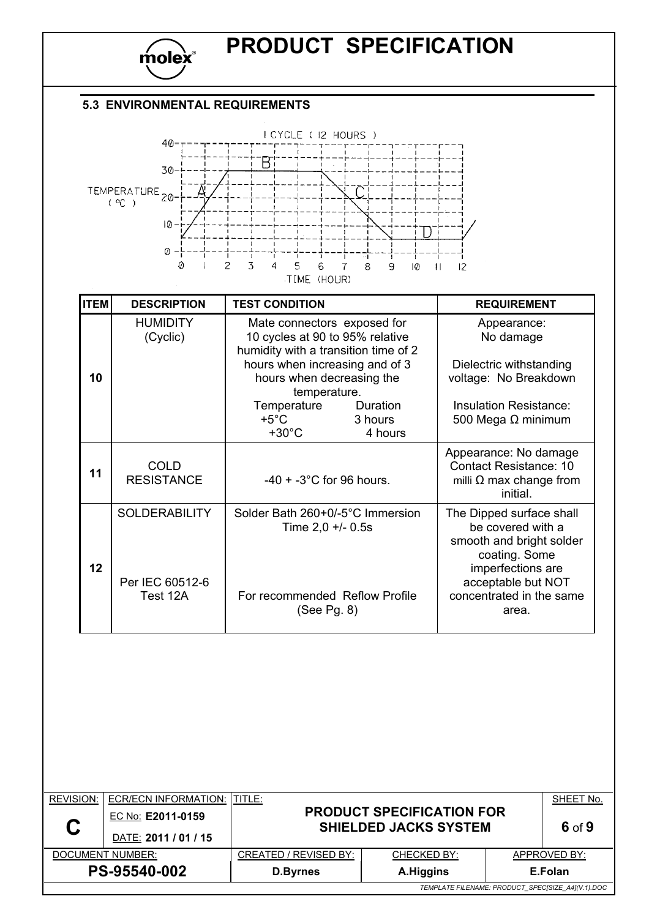

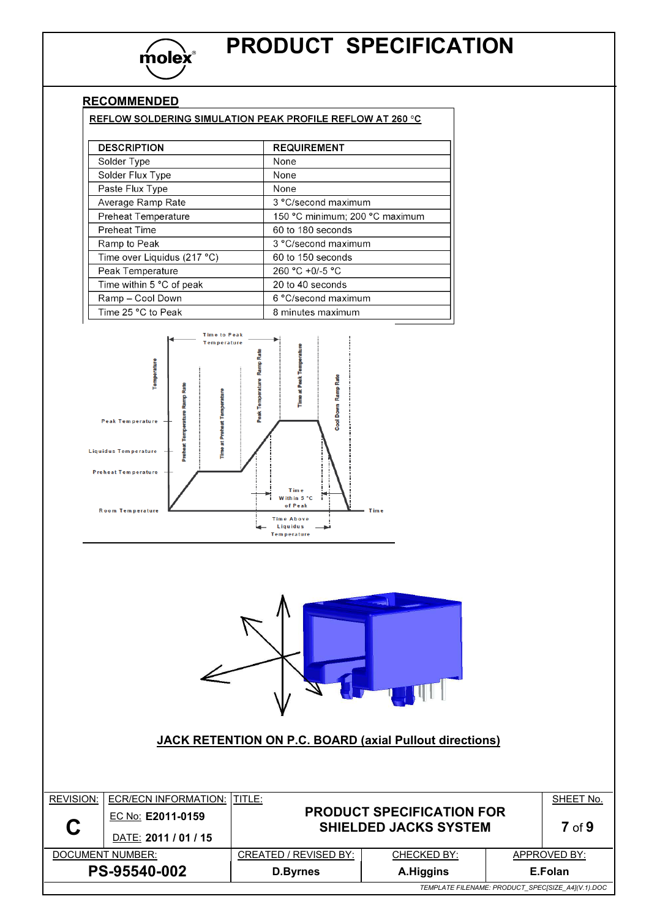

٦

# **RECOMMENDED**<br>REFLOW SOLDERING SIMULATION REAK RROELLE REFLOW AT 350 %

| REFLOW SOLDERING SIMULATION PEAK PROFILE REFLOW AT 260 °C |                                |
|-----------------------------------------------------------|--------------------------------|
|                                                           |                                |
| <b>DESCRIPTION</b>                                        | <b>REQUIREMENT</b>             |
| Solder Type                                               | None                           |
| Solder Flux Type                                          | None                           |
| Paste Flux Type                                           | None                           |
| Average Ramp Rate                                         | 3 °C/second maximum            |
| <b>Preheat Temperature</b>                                | 150 °C minimum; 200 °C maximum |
| <b>Preheat Time</b>                                       | 60 to 180 seconds              |
| Ramp to Peak                                              | 3 °C/second maximum            |
| Time over Liquidus (217 °C)                               | 60 to 150 seconds              |
| Peak Temperature                                          | 260 °C +0/-5 °C                |
| Time within 5 °C of peak                                  | 20 to 40 seconds               |
| Ramp - Cool Down                                          | 6 °C/second maximum            |
| Time 25 °C to Peak                                        | 8 minutes maximum              |





## **JACK RETENTION ON P.C. BOARD (axial Pullout directions)**

| <b>REVISION:</b> | ECR/ECN INFORMATION: ITITLE:              |                                                                  |                   |  | SHEET No.                                         |
|------------------|-------------------------------------------|------------------------------------------------------------------|-------------------|--|---------------------------------------------------|
| C                | EC No: E2011-0159<br>DATE: 2011 / 01 / 15 | <b>PRODUCT SPECIFICATION FOR</b><br><b>SHIELDED JACKS SYSTEM</b> | 7 <sub>of</sub> 9 |  |                                                   |
|                  | DOCUMENT NUMBER:                          | CREATED / REVISED BY:                                            | CHECKED BY:       |  | APPROVED BY:                                      |
| PS-95540-002     |                                           | A.Higgins<br>E.Folan<br><b>D.Byrnes</b>                          |                   |  |                                                   |
|                  |                                           |                                                                  |                   |  | TEMPLATE FILENAME: PRODUCT_SPEC[SIZE_A4](V.1).DOC |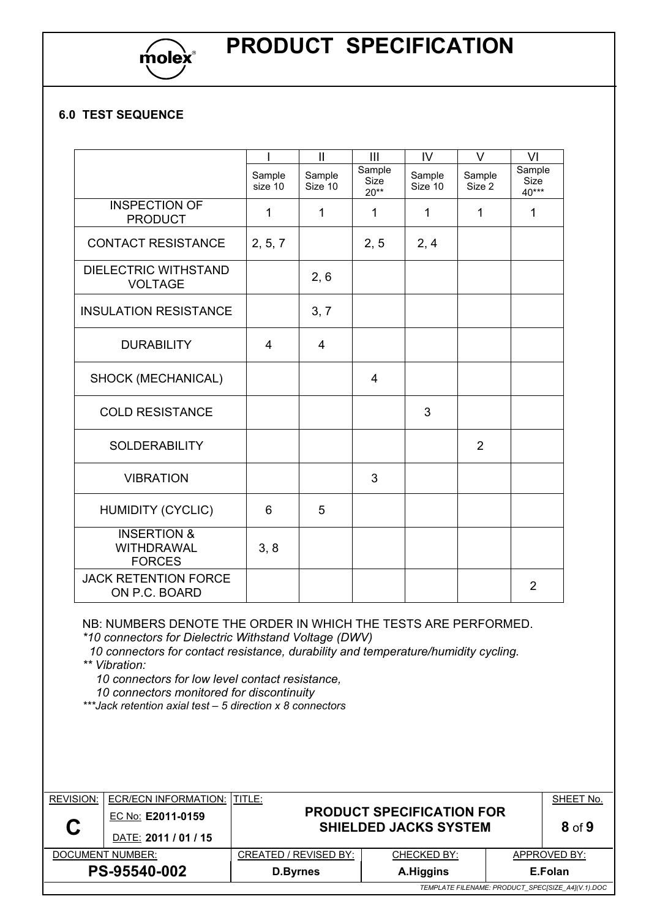

# **PRODUCT SPECIFICATION**

## **6.0 TEST SEQUENCE**

|                                                              |                   | $\mathbf{I}$      | III                             | IV                | V                | VI                             |
|--------------------------------------------------------------|-------------------|-------------------|---------------------------------|-------------------|------------------|--------------------------------|
|                                                              | Sample<br>size 10 | Sample<br>Size 10 | Sample<br><b>Size</b><br>$20**$ | Sample<br>Size 10 | Sample<br>Size 2 | Sample<br><b>Size</b><br>40*** |
| <b>INSPECTION OF</b><br><b>PRODUCT</b>                       | $\mathbf 1$       | 1                 | 1                               | $\mathbf 1$       | 1                | 1                              |
| <b>CONTACT RESISTANCE</b>                                    | 2, 5, 7           |                   | 2, 5                            | 2, 4              |                  |                                |
| <b>DIELECTRIC WITHSTAND</b><br><b>VOLTAGE</b>                |                   | 2, 6              |                                 |                   |                  |                                |
| <b>INSULATION RESISTANCE</b>                                 |                   | 3, 7              |                                 |                   |                  |                                |
| <b>DURABILITY</b>                                            | 4                 | 4                 |                                 |                   |                  |                                |
| SHOCK (MECHANICAL)                                           |                   |                   | $\overline{4}$                  |                   |                  |                                |
| <b>COLD RESISTANCE</b>                                       |                   |                   |                                 | 3                 |                  |                                |
| <b>SOLDERABILITY</b>                                         |                   |                   |                                 |                   | $\overline{2}$   |                                |
| <b>VIBRATION</b>                                             |                   |                   | 3                               |                   |                  |                                |
| <b>HUMIDITY (CYCLIC)</b>                                     | 6                 | 5                 |                                 |                   |                  |                                |
| <b>INSERTION &amp;</b><br><b>WITHDRAWAL</b><br><b>FORCES</b> | 3, 8              |                   |                                 |                   |                  |                                |
| <b>JACK RETENTION FORCE</b><br>ON P.C. BOARD                 |                   |                   |                                 |                   |                  | $\overline{2}$                 |

NB: NUMBERS DENOTE THE ORDER IN WHICH THE TESTS ARE PERFORMED.

*\*10 connectors for Dielectric Withstand Voltage (DWV)* 

 *10 connectors for contact resistance, durability and temperature/humidity cycling. \*\* Vibration:* 

 *10 connectors for low level contact resistance,*

 *10 connectors monitored for discontinuity* 

*\*\*\*Jack retention axial test – 5 direction x 8 connectors* 

| <b>REVISION:</b> | ECR/ECN INFORMATION: ITITLE: |                              |                                                                  |  | SHEET No.                                         |
|------------------|------------------------------|------------------------------|------------------------------------------------------------------|--|---------------------------------------------------|
|                  | EC No: E2011-0159            |                              | <b>PRODUCT SPECIFICATION FOR</b><br><b>SHIELDED JACKS SYSTEM</b> |  |                                                   |
|                  | DATE: 2011 / 01 / 15         |                              | $8$ of $9$                                                       |  |                                                   |
|                  | DOCUMENT NUMBER:             | CREATED / REVISED BY:        | CHECKED BY:                                                      |  | APPROVED BY:                                      |
|                  | PS-95540-002                 | A.Higgins<br><b>D.Byrnes</b> |                                                                  |  | E.Folan                                           |
|                  |                              |                              |                                                                  |  | TEMPLATE FILENAME: PRODUCT_SPEC[SIZE_A4](V.1).DOC |